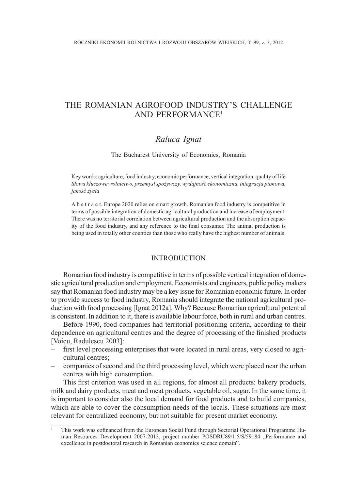# The Romanian agrofood industry's challenge and performance<sup>1</sup>

# *Raluca Ignat*

The Bucharest University of Economics, Romania

Key words: agriculture, food industry, economic performance, vertical integration, quality of life *Słowa kluczowe: rolnictwo, przemysł spożywczy, wydajność ekonomiczna, integracja pionowa, jakość życia*

A b s t r a c t. Europe 2020 relies on smart growth. Romanian food industry is competitive in terms of possible integration of domestic agricultural production and increase of employment. There was no territorial correlation between agricultural production and the absorption capacity of the food industry, and any reference to the final consumer. The animal production is being used in totally other counties than those who really have the highest number of animals.

#### **INTRODUCTION**

Romanian food industry is competitive in terms of possible vertical integration of domestic agricultural production and employment. Economists and engineers, public policy makers say that Romanian food industry may be a key issue for Romanian economic future. In order to provide success to food industry, Romania should integrate the national agricultural production with food processing [Ignat 2012a]. Why? Because Romanian agricultural potential is consistent. In addition to it, there is available labour force, both in rural and urban centres.

Before 1990, food companies had territorial positioning criteria, according to their dependence on agricultural centres and the degree of processing of the finished products [Voicu, Radulescu 2003]:

- first level processing enterprises that were located in rural areas, very closed to agricultural centres;
- companies of second and the third processing level, which were placed near the urban centres with high consumption.

This first criterion was used in all regions, for almost all products: bakery products, milk and dairy products, meat and meat products, vegetable oil, sugar. In the same time, it is important to consider also the local demand for food products and to build companies, which are able to cover the consumption needs of the locals. These situations are most relevant for centralized economy, but not suitable for present market economy.

<sup>1</sup> This work was cofinanced from the European Social Fund through Sectorial Operational Programme Human Resources Development 2007-2013, project number POSDRU89/1.5/S/59184 "Performance and excellence in postdoctoral research in Romanian economics science domain".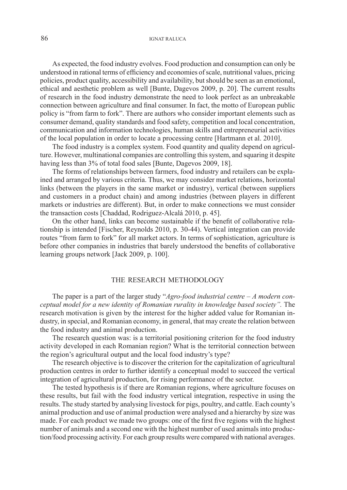## 86 IGNAT RALUCA

As expected, the food industry evolves. Food production and consumption can only be understood in rational terms of efficiency and economies of scale, nutritional values, pricing policies, product quality, accessibility and availability, but should be seen as an emotional, ethical and aesthetic problem as well [Bunte, Dagevos 2009, p. 20]. The current results of research in the food industry demonstrate the need to look perfect as an unbreakable connection between agriculture and final consumer. In fact, the motto of European public policy is "from farm to fork". There are authors who consider important elements such as consumer demand, quality standards and food safety, competition and local concentration, communication and information technologies, human skills and entrepreneurial activities of the local population in order to locate a processing centre [Hartmann et al. 2010].

The food industry is a complex system. Food quantity and quality depend on agriculture. However, multinational companies are controlling this system, and squaring it despite having less than 3% of total food sales [Bunte, Dagevos 2009, 18].

The forms of relationships between farmers, food industry and retailers can be explained and arranged by various criteria. Thus, we may consider market relations, horizontal links (between the players in the same market or industry), vertical (between suppliers and customers in a product chain) and among industries (between players in different markets or industries are different). But, in order to make connections we must consider the transaction costs [Chaddad, Rodriguez-Alcalá 2010, p. 45].

On the other hand, links can become sustainable if the benefit of collaborative relationship is intended [Fischer, Reynolds 2010, p. 30-44). Vertical integration can provide routes "from farm to fork" for all market actors. In terms of sophistication, agriculture is before other companies in industries that barely understood the benefits of collaborative learning groups network [Jack 2009, p. 100].

#### THE RESEARCH METHODOLOGY

The paper is a part of the larger study "*Agro-food industrial centre* – *A modern conceptual model for a new identity of Romanian rurality in knowledge based society"*. The research motivation is given by the interest for the higher added value for Romanian industry, in special, and Romanian economy, in general, that may create the relation between the food industry and animal production.

The research question was: is a territorial positioning criterion for the food industry activity developed in each Romanian region? What is the territorial connection between the region's agricultural output and the local food industry's type?

The research objective is to discover the criterion for the capitalization of agricultural production centres in order to further identify a conceptual model to succeed the vertical integration of agricultural production, for rising performance of the sector.

The tested hypothesis is if there are Romanian regions, where agriculture focuses on these results, but fail with the food industry vertical integration, respective in using the results. The study started by analysing livestock for pigs, poultry, and cattle. Each county's animal production and use of animal production were analysed and a hierarchy by size was made. For each product we made two groups: one of the first five regions with the highest number of animals and a second one with the highest number of used animals into production/food processing activity. For each group results were compared with national averages.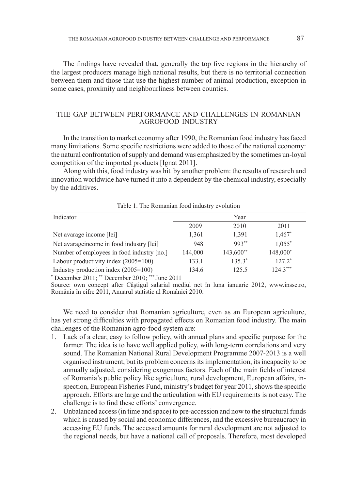The findings have revealed that, generally the top five regions in the hierarchy of the largest producers manage high national results, but there is no territorial connection between them and those that use the highest number of animal production, exception in some cases, proximity and neighbourliness between counties.

# The gap between performance and challenges in Romanian agrofood industry

In the transition to market economy after 1990, the Romanian food industry has faced many limitations. Some specific restrictions were added to those of the national economy: the natural confrontation of supply and demand was emphasized by the sometimes un-loyal competition of the imported products [Ignat 2011].

Along with this, food industry was hit by another problem: the results of research and innovation worldwide have turned it into a dependent by the chemical industry, especially by the additives.

Table 1. The Romanian food industry evolution

| Indicator                                    | Year    |           |            |  |
|----------------------------------------------|---------|-----------|------------|--|
|                                              | 2009    | 2010      | 2011       |  |
| Net avarage income [lei]                     | 1,361   | 1.391     | 1,467*     |  |
| Net avarage<br>income in food industry [lei] | 948     | $993**$   | $1,055^*$  |  |
| Number of employees in food industry [no.]   | 144,000 | 143,600** | 148,000*   |  |
| Labour productivity index $(2005=100)$       | 133.1   | $135.3*$  | $127.2*$   |  |
| Industry production index $(2005=100)$       | 134.6   | 125.5     | $124.3***$ |  |

\* December 2011; \*\* December 2010; \*\*\* June 2011

Source: own concept after Câștigul salarial mediul net în luna ianuarie 2012, www.insse.ro, România în cifre 2011, Anuarul statistic al României 2010.

We need to consider that Romanian agriculture, even as an European agriculture, has yet strong difficulties with propagated effects on Romanian food industry. The main challenges of the Romanian agro-food system are:

- 1. Lack of a clear, easy to follow policy, with annual plans and specific purpose for the farmer. The idea is to have well applied policy, with long-term correlations and very sound. The Romanian National Rural Development Programme 2007-2013 is a well organised instrument, but its problem concerns its implementation, its incapacity to be annually adjusted, considering exogenous factors. Each of the main fields of interest of Romania's public policy like agriculture, rural development, European affairs, inspection, European Fisheries Fund, ministry's budget for year 2011, shows the specific approach. Efforts are large and the articulation with EU requirements is not easy. The challenge is to find these efforts' convergence.
- 2. Unbalanced access (in time and space) to pre-accession and now to the structural funds which is caused by social and economic differences, and the excessive bureaucracy in accessing EU funds. The accessed amounts for rural development are not adjusted to the regional needs, but have a national call of proposals. Therefore, most developed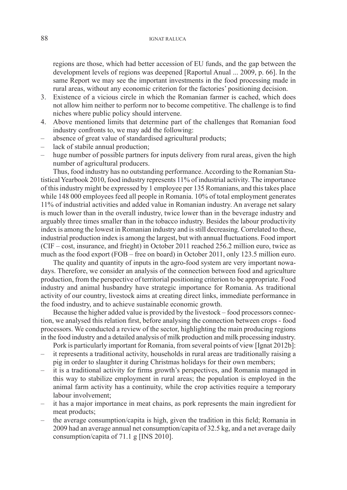regions are those, which had better accession of EU funds, and the gap between the development levels of regions was deepened [Raportul Anual ... 2009, p. 66]. In the same Report we may see the important investments in the food processing made in rural areas, without any economic criterion for the factories' positioning decision.

- 3. Existence of a vicious circle in which the Romanian farmer is cached, which does not allow him neither to perform nor to become competitive. The challenge is to find niches where public policy should intervene.
- 4. Above mentioned limits that determine part of the challenges that Romanian food industry confronts to, we may add the following:
- absence of great value of standardised agricultural products;
- lack of stabile annual production;
- huge number of possible partners for inputs delivery from rural areas, given the high number of agricultural producers.

Thus, food industry has no outstanding performance. According to the Romanian Statistical Yearbook 2010, food industry represents 11% of industrial activity. The importance of this industry might be expressed by 1 employee per 135 Romanians, and this takes place while 148 000 employees feed all people in Romania. 10% of total employment generates 11% of industrial activities and added value in Romanian industry. An average net salary is much lower than in the overall industry, twice lower than in the beverage industry and arguably three times smaller than in the tobacco industry. Besides the labour productivity index is among the lowest in Romanian industry and is still decreasing. Correlated to these, industrial production index is among the largest, but with annual fluctuations. Food import (CIF – cost, insurance, and frieght) in October 2011 reached 256.2 million euro, twice as much as the food export (FOB – free on board) in October 2011, only 123.5 million euro.

The quality and quantity of inputs in the agro-food system are very important nowadays. Therefore, we consider an analysis of the connection between food and agriculture production, from the perspective of territorial positioning criterion to be appropriate. Food industry and animal husbandry have strategic importance for Romania. As traditional activity of our country, livestock aims at creating direct links, immediate performance in the food industry, and to achieve sustainable economic growth.

Because the higher added value is provided by the livestock – food processors connection, we analysed this relation first, before analysing the connection between crops - food processors. We conducted a review of the sector, highlighting the main producing regions in the food industry and a detailed analysis of milk production and milk processing industry.

Pork is particularly important for Romania, from several points of view [Ignat 2012b]:

- it represents a traditional activity, households in rural areas are traditionally raising a pig in order to slaughter it during Christmas holidays for their own members;
- it is a traditional activity for firms growth's perspectives, and Romania managed in this way to stabilize employment in rural areas; the population is employed in the animal farm activity has a continuity, while the crop activities require a temporary labour involvement;
- it has a major importance in meat chains, as pork represents the main ingredient for meat products;
- the average consumption/capita is high, given the tradition in this field; Romania in 2009 had an average annual net consumption/capita of 32.5 kg, and a net average daily consumption/capita of 71.1 g [INS 2010].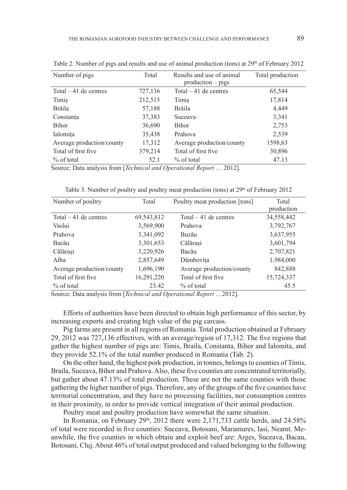| Number of pigs            | Total   | Results and use of animal<br>$production - pigs$ | Total production |  |
|---------------------------|---------|--------------------------------------------------|------------------|--|
| Total $-41$ de centres    |         | Total $-41$ de centres                           | 65,544           |  |
|                           | 727,136 |                                                  |                  |  |
| Timis                     | 212,515 | Timis                                            | 17,814           |  |
| Brăila                    | 57,188  | Brăila                                           | 4,449            |  |
| Constanta                 | 37,383  | Suceava                                          | 3,341            |  |
| Bihor                     | 36,690  | <b>Bihor</b>                                     | 2,753            |  |
| Ialomita                  | 35,438  | Prahova                                          | 2,539            |  |
| Average production/county | 17,312  | Average production/county                        | 1598,63          |  |
| Total of first five.      | 379,214 | Total of first five                              | 30,896           |  |
| $\%$ of total             | 52.1    | $%$ of total                                     | 47.13            |  |

Table 2. Number of pigs and results and use of animal production (tons) at  $29<sup>th</sup>$  of February 2012

Source: Data analysis from [*Technical and Operational Report* … 2012].

| Number of poultry         | Total      | Poultry meat production [tons] | Total<br>production |
|---------------------------|------------|--------------------------------|---------------------|
| Total $-41$ de centres    | 69,543,812 | Total $-41$ de centres         | 34,558,442          |
| Vaslui                    | 3,569,900  | Prahova                        | 3,792,767           |
| Prahova                   | 3,341,092  | Buzău                          | 3,637,955           |
| Bacău                     | 3,301,653  | Călărași                       | 3,601,794           |
| Călărași                  | 3,220,926  | Bacău                          | 2,707,821           |
| Alba                      | 2,857,649  | Dâmbovita                      | 1,984,000           |
| Average production/county | 1,696,190  | Average production/county      | 842,888             |
| Total of first five.      | 16,291,220 | Total of first five            | 15,724,337          |
| $%$ of total              | 23.42      | $%$ of total                   | 45.5                |

Table 3. Number of poultry and poultry meat production (tons) at  $29<sup>th</sup>$  of February 2012

Source: Data analysis from [*Technical and Operational Report* …2012].

Efforts of authorities have been directed to obtain high performance of this sector, by increasing exports and creating high value of the pig carcass.

Pig farms are present in all regions of Romania. Total production obtained at February 29, 2012 was 727,136 effectives, with an average/region of 17,312. The five regions that gather the highest number of pigs are: Timis, Braila, Constanta, Bihor and Ialomita, and they provide 52.1% of the total number produced in Romania (Tab. 2).

On the other hand, the highest pork production, in tonnes, belongs to counties of Timis, Braila, Suceava, Bihor and Prahova. Also, these five counties are concentrated territorially, but gather about 47.13% of total production. These are not the same counties with those gathering the higher number of pigs. Therefore, any of the groups of the five counties have territorial concentration, and they have no processing facilities, nor consumption centres in their proximity, in order to provide vertical integration of their animal production.

Poultry meat and poultry production have somewhat the same situation.

In Romania, on February  $29<sup>th</sup>$ ,  $2012$  there were  $2,171,733$  cattle herds, and  $24.58\%$ of total were recorded in five counties: Suceava, Botosani, Maramures, Iasi, Neamt. Meanwhile, the five counties in which obtain and exploit beef are: Arges, Suceava, Bacau, Botosani, Cluj. About 46% of total output produced and valued belonging to the following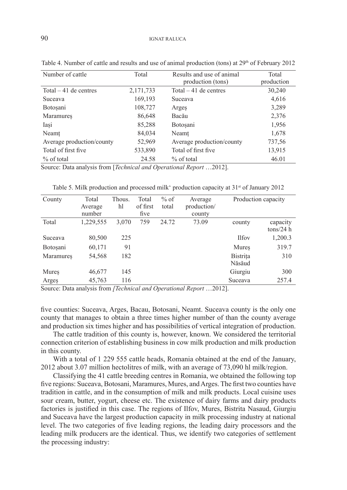| Number of cattle          | Total     | Results and use of animal<br>production (tons) | Total<br>production |
|---------------------------|-----------|------------------------------------------------|---------------------|
| Total $-41$ de centres    | 2,171,733 | Total $-41$ de centres                         | 30,240              |
| <b>Suceava</b>            | 169,193   | Suceava                                        | 4,616               |
| <b>Botosani</b>           | 108,727   | Arges                                          | 3,289               |
| Maramures                 | 86,648    | Bacău                                          | 2,376               |
| Iași                      | 85,288    | <b>Botosani</b>                                | 1,956               |
| Neamt                     | 84,034    | Neamt                                          | 1,678               |
| Average production/county | 52,969    | Average production/county                      | 737,56              |
| Total of first five.      | 533,890   | Total of first five                            | 13,915              |
| $\%$ of total             | 24.58     | $\%$ of total                                  | 46.01               |

Table 4. Number of cattle and results and use of animal production (tons) at 29<sup>th</sup> of February 2012

Source: Data analysis from [*Technical and Operational Report* …2012].

Table 5. Milk production and processed milk' production capacity at  $31<sup>st</sup>$  of January 2012

| County           | Total<br>Average<br>number | Thous.<br>hl | Total<br>of first<br>five | $%$ of<br>total | Average<br>production/<br>county |                           | Production capacity   |
|------------------|----------------------------|--------------|---------------------------|-----------------|----------------------------------|---------------------------|-----------------------|
| Total            | 1,229,555                  | 3,070        | 759                       | 24.72           | 73.09                            | county                    | capacity<br>tons/24 h |
| Suceava          | 80,500                     | 225          |                           |                 |                                  | <b>Ilfov</b>              | 1,200.3               |
| <b>Botosani</b>  | 60,171                     | 91           |                           |                 |                                  | Mures                     | 319.7                 |
| <b>Maramures</b> | 54,568                     | 182          |                           |                 |                                  | <b>Bistrita</b><br>Năsăud | 310                   |
| Mures            | 46,677                     | 145          |                           |                 |                                  | Giurgiu                   | 300                   |
| Argeș            | 45,763                     | 116          |                           |                 |                                  | Suceava                   | 257.4                 |

Source: Data analysis from *[Technical and Operational Report* …2012].

five counties: Suceava, Arges, Bacau, Botosani, Neamt. Suceava county is the only one county that manages to obtain a three times higher number of than the county average and production six times higher and has possibilities of vertical integration of production.

The cattle tradition of this county is, however, known. We considered the territorial connection criterion of establishing business in cow milk production and milk production in this county.

With a total of 1 229 555 cattle heads, Romania obtained at the end of the January, 2012 about 3.07 million hectolitres of milk, with an average of 73,090 hl milk/region.

Classifying the 41 cattle breeding centres in Romania, we obtained the following top five regions: Suceava, Botosani, Maramures, Mures, and Arges. The first two counties have tradition in cattle, and in the consumption of milk and milk products. Local cuisine uses sour cream, butter, yogurt, cheese etc. The existence of dairy farms and dairy products factories is justified in this case. The regions of Ilfov, Mures, Bistrita Nasaud, Giurgiu and Suceava have the largest production capacity in milk processing industry at national level. The two categories of five leading regions, the leading dairy processors and the leading milk producers are the identical. Thus, we identify two categories of settlement the processing industry: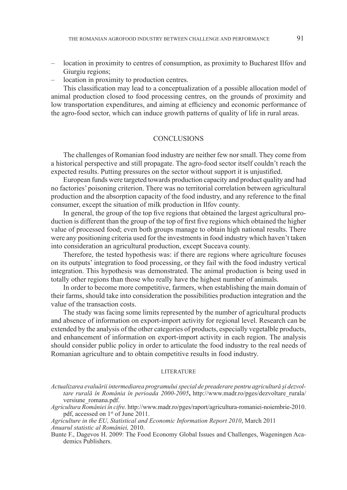- location in proximity to centres of consumption, as proximity to Bucharest Ilfov and Giurgiu regions;
- location in proximity to production centres.

This classification may lead to a conceptualization of a possible allocation model of animal production closed to food processing centres, on the grounds of proximity and low transportation expenditures, and aiming at efficiency and economic performance of the agro-food sector, which can induce growth patterns of quality of life in rural areas.

#### **CONCLUSIONS**

The challenges of Romanian food industry are neither few nor small. They come from a historical perspective and still propagate. The agro-food sector itself couldn't reach the expected results. Putting pressures on the sector without support it is unjustified.

European funds were targeted towards production capacity and product quality and had no factories' poisoning criterion. There was no territorial correlation between agricultural production and the absorption capacity of the food industry, and any reference to the final consumer, except the situation of milk production in Ilfov county.

In general, the group of the top five regions that obtained the largest agricultural production is different than the group of the top of first five regions which obtained the higher value of processed food; even both groups manage to obtain high national results. There were any positioning criteria used for the investments in food industry which haven't taken into consideration an agricultural production, except Suceava county.

Therefore, the tested hypothesis was: if there are regions where agriculture focuses on its outputs' integration to food processing, or they fail with the food industry vertical integration. This hypothesis was demonstrated. The animal production is being used in totally other regions than those who really have the highest number of animals.

In order to become more competitive, farmers, when establishing the main domain of their farms, should take into consideration the possibilities production integration and the value of the transaction costs.

The study was facing some limits represented by the number of agricultural products and absence of information on export-import activity for regional level. Research can be extended by the analysis of the other categories of products, especially vegetalble products, and enhancement of information on export-import activity in each region. The analysis should consider public policy in order to articulate the food industry to the real needs of Romanian agriculture and to obtain competitive results in food industry.

#### LITER ATURE

*Agriculture in the EU, Statistical and Economic Information Report 2010*, March 2011 *Anuarul statistic al României,* 2010.

Bunte F., Dagevos H. 2009: The Food Economy Global Issues and Challenges, Wageningen Academics Publishers.

*Actualizarea evaluării intermediarea programului special de preaderare pentru agricultură şi dezvoltare rurală în România în perioada 2000-2005***,** http://www.madr.ro/pges/dezvoltare\_rurala/ versiune\_romana.pdf.

*Agricultura României în cifre.* http://www.madr.ro/pges/raport/agricultura-romaniei-noiembrie-2010. pdf, accessed on 1st of June 2011.